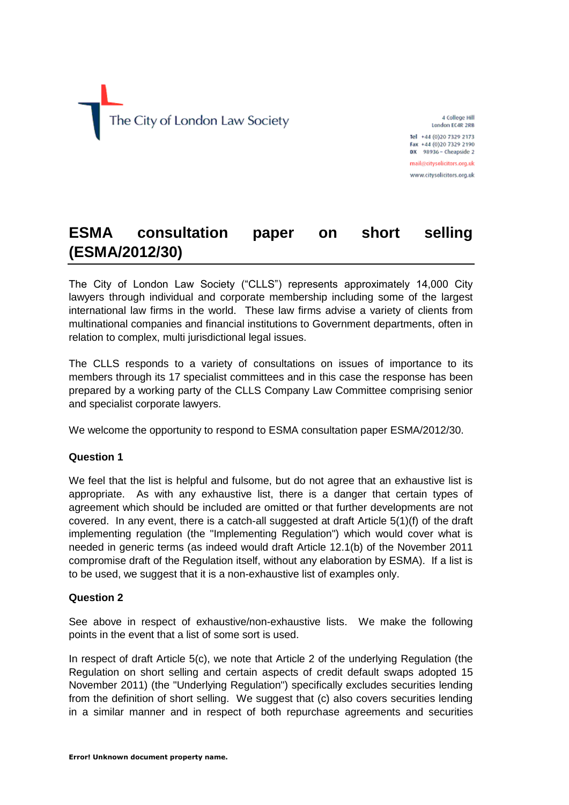

4 College Hill London EC4R 2RB Tel +44 (0)20 7329 2173 Fax +44 (0)20 7329 2190

DX 98936 - Cheapside 2 mail@citysolicitors.org.uk

www.citysolicitors.org.uk

# **ESMA consultation paper on short selling (ESMA/2012/30)**

The City of London Law Society ("CLLS") represents approximately 14,000 City lawyers through individual and corporate membership including some of the largest international law firms in the world. These law firms advise a variety of clients from multinational companies and financial institutions to Government departments, often in relation to complex, multi jurisdictional legal issues.

The CLLS responds to a variety of consultations on issues of importance to its members through its 17 specialist committees and in this case the response has been prepared by a working party of the CLLS Company Law Committee comprising senior and specialist corporate lawyers.

We welcome the opportunity to respond to ESMA consultation paper ESMA/2012/30.

# **Question 1**

We feel that the list is helpful and fulsome, but do not agree that an exhaustive list is appropriate. As with any exhaustive list, there is a danger that certain types of agreement which should be included are omitted or that further developments are not covered. In any event, there is a catch-all suggested at draft Article 5(1)(f) of the draft implementing regulation (the "Implementing Regulation") which would cover what is needed in generic terms (as indeed would draft Article 12.1(b) of the November 2011 compromise draft of the Regulation itself, without any elaboration by ESMA). If a list is to be used, we suggest that it is a non-exhaustive list of examples only.

# **Question 2**

See above in respect of exhaustive/non-exhaustive lists. We make the following points in the event that a list of some sort is used.

In respect of draft Article 5(c), we note that Article 2 of the underlying Regulation (the Regulation on short selling and certain aspects of credit default swaps adopted 15 November 2011) (the "Underlying Regulation") specifically excludes securities lending from the definition of short selling. We suggest that (c) also covers securities lending in a similar manner and in respect of both repurchase agreements and securities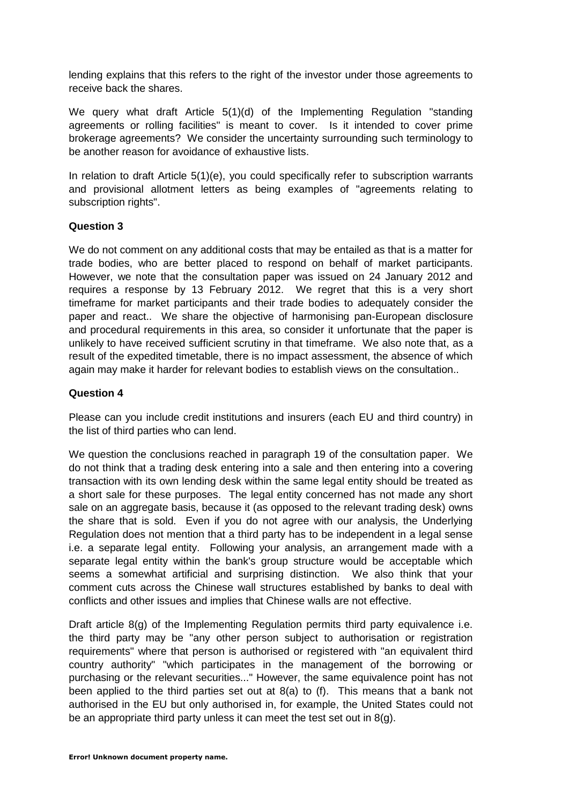lending explains that this refers to the right of the investor under those agreements to receive back the shares.

We query what draft Article 5(1)(d) of the Implementing Regulation "standing agreements or rolling facilities" is meant to cover. Is it intended to cover prime brokerage agreements? We consider the uncertainty surrounding such terminology to be another reason for avoidance of exhaustive lists.

In relation to draft Article 5(1)(e), you could specifically refer to subscription warrants and provisional allotment letters as being examples of "agreements relating to subscription rights".

# **Question 3**

We do not comment on any additional costs that may be entailed as that is a matter for trade bodies, who are better placed to respond on behalf of market participants. However, we note that the consultation paper was issued on 24 January 2012 and requires a response by 13 February 2012. We regret that this is a very short timeframe for market participants and their trade bodies to adequately consider the paper and react.. We share the objective of harmonising pan-European disclosure and procedural requirements in this area, so consider it unfortunate that the paper is unlikely to have received sufficient scrutiny in that timeframe. We also note that, as a result of the expedited timetable, there is no impact assessment, the absence of which again may make it harder for relevant bodies to establish views on the consultation..

# **Question 4**

Please can you include credit institutions and insurers (each EU and third country) in the list of third parties who can lend.

We question the conclusions reached in paragraph 19 of the consultation paper. We do not think that a trading desk entering into a sale and then entering into a covering transaction with its own lending desk within the same legal entity should be treated as a short sale for these purposes. The legal entity concerned has not made any short sale on an aggregate basis, because it (as opposed to the relevant trading desk) owns the share that is sold. Even if you do not agree with our analysis, the Underlying Regulation does not mention that a third party has to be independent in a legal sense i.e. a separate legal entity. Following your analysis, an arrangement made with a separate legal entity within the bank's group structure would be acceptable which seems a somewhat artificial and surprising distinction. We also think that your comment cuts across the Chinese wall structures established by banks to deal with conflicts and other issues and implies that Chinese walls are not effective.

Draft article 8(g) of the Implementing Regulation permits third party equivalence i.e. the third party may be "any other person subject to authorisation or registration requirements" where that person is authorised or registered with "an equivalent third country authority" "which participates in the management of the borrowing or purchasing or the relevant securities..." However, the same equivalence point has not been applied to the third parties set out at 8(a) to (f). This means that a bank not authorised in the EU but only authorised in, for example, the United States could not be an appropriate third party unless it can meet the test set out in 8(g).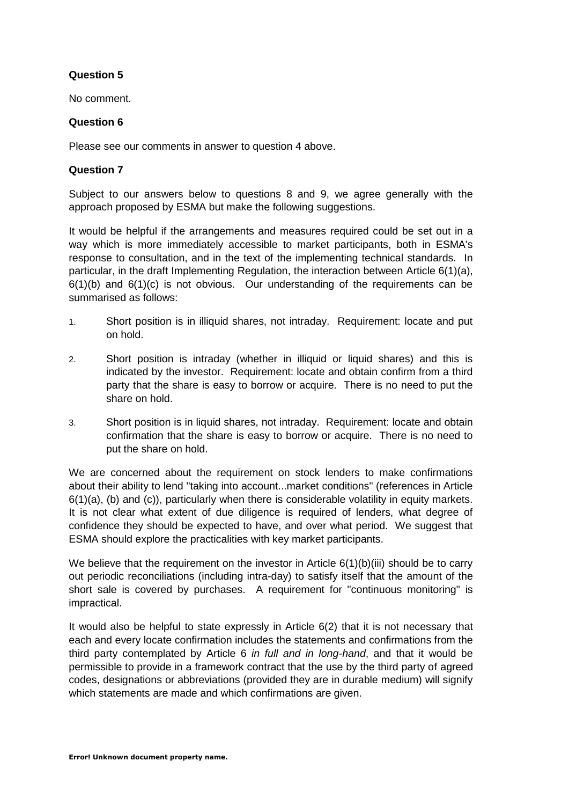# **Question 5**

No comment.

## **Question 6**

Please see our comments in answer to question 4 above.

## **Question 7**

Subject to our answers below to questions 8 and 9, we agree generally with the approach proposed by ESMA but make the following suggestions.

It would be helpful if the arrangements and measures required could be set out in a way which is more immediately accessible to market participants, both in ESMA's response to consultation, and in the text of the implementing technical standards. In particular, in the draft Implementing Regulation, the interaction between Article 6(1)(a),  $6(1)(b)$  and  $6(1)(c)$  is not obvious. Our understanding of the requirements can be summarised as follows:

- 1. Short position is in illiquid shares, not intraday. Requirement: locate and put on hold.
- 2. Short position is intraday (whether in illiquid or liquid shares) and this is indicated by the investor. Requirement: locate and obtain confirm from a third party that the share is easy to borrow or acquire. There is no need to put the share on hold.
- 3. Short position is in liquid shares, not intraday. Requirement: locate and obtain confirmation that the share is easy to borrow or acquire. There is no need to put the share on hold.

We are concerned about the requirement on stock lenders to make confirmations about their ability to lend "taking into account...market conditions" (references in Article  $6(1)(a)$ , (b) and (c)), particularly when there is considerable volatility in equity markets. It is not clear what extent of due diligence is required of lenders, what degree of confidence they should be expected to have, and over what period. We suggest that ESMA should explore the practicalities with key market participants.

We believe that the requirement on the investor in Article  $6(1)(b)(iii)$  should be to carry out periodic reconciliations (including intra-day) to satisfy itself that the amount of the short sale is covered by purchases. A requirement for "continuous monitoring" is impractical.

It would also be helpful to state expressly in Article 6(2) that it is not necessary that each and every locate confirmation includes the statements and confirmations from the third party contemplated by Article 6 *in full and in long-hand*, and that it would be permissible to provide in a framework contract that the use by the third party of agreed codes, designations or abbreviations (provided they are in durable medium) will signify which statements are made and which confirmations are given.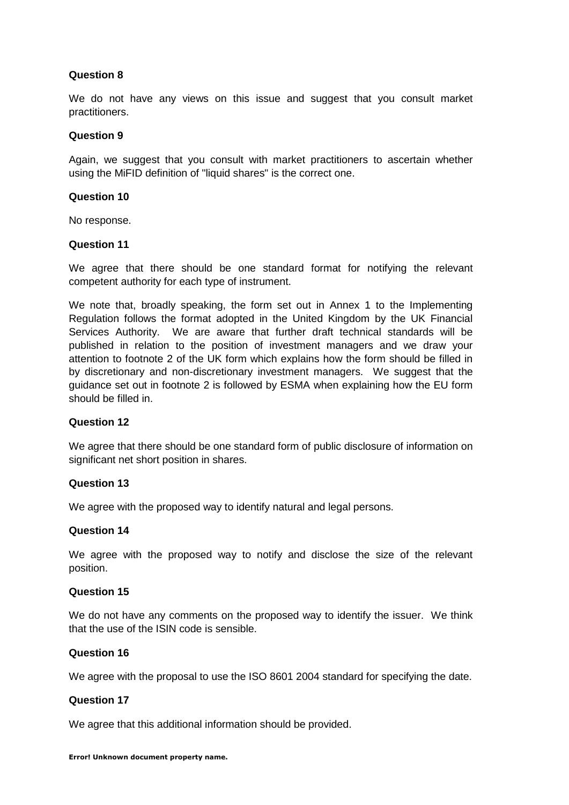# **Question 8**

We do not have any views on this issue and suggest that you consult market practitioners.

#### **Question 9**

Again, we suggest that you consult with market practitioners to ascertain whether using the MiFID definition of "liquid shares" is the correct one.

#### **Question 10**

No response.

#### **Question 11**

We agree that there should be one standard format for notifying the relevant competent authority for each type of instrument.

We note that, broadly speaking, the form set out in Annex 1 to the Implementing Regulation follows the format adopted in the United Kingdom by the UK Financial Services Authority. We are aware that further draft technical standards will be published in relation to the position of investment managers and we draw your attention to footnote 2 of the UK form which explains how the form should be filled in by discretionary and non-discretionary investment managers. We suggest that the guidance set out in footnote 2 is followed by ESMA when explaining how the EU form should be filled in.

#### **Question 12**

We agree that there should be one standard form of public disclosure of information on significant net short position in shares.

#### **Question 13**

We agree with the proposed way to identify natural and legal persons.

#### **Question 14**

We agree with the proposed way to notify and disclose the size of the relevant position.

#### **Question 15**

We do not have any comments on the proposed way to identify the issuer. We think that the use of the ISIN code is sensible.

# **Question 16**

We agree with the proposal to use the ISO 8601 2004 standard for specifying the date.

#### **Question 17**

We agree that this additional information should be provided.